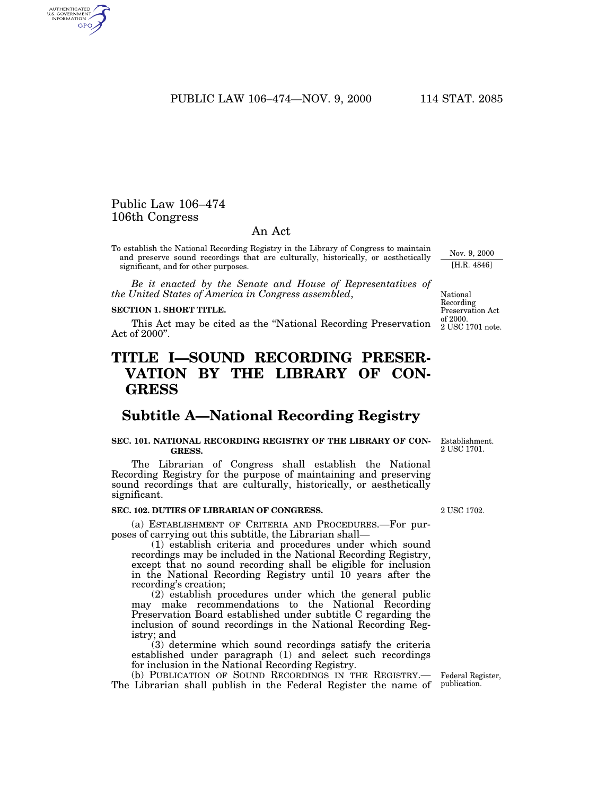PUBLIC LAW 106–474—NOV. 9, 2000 114 STAT. 2085

## Public Law 106–474 106th Congress

AUTHENTICATED<br>U.S. GOVERNMENT<br>INFORMATION GPO

## An Act

To establish the National Recording Registry in the Library of Congress to maintain and preserve sound recordings that are culturally, historically, or aesthetically significant, and for other purposes.

*Be it enacted by the Senate and House of Representatives of the United States of America in Congress assembled*,

#### **SECTION 1. SHORT TITLE.**

This Act may be cited as the ''National Recording Preservation Act of 2000''.

# **TITLE I—SOUND RECORDING PRESER-VATION BY THE LIBRARY OF CON-GRESS**

## **Subtitle A—National Recording Registry**

#### **SEC. 101. NATIONAL RECORDING REGISTRY OF THE LIBRARY OF CON-GRESS.**

The Librarian of Congress shall establish the National Recording Registry for the purpose of maintaining and preserving sound recordings that are culturally, historically, or aesthetically significant.

### **SEC. 102. DUTIES OF LIBRARIAN OF CONGRESS.**

(a) ESTABLISHMENT OF CRITERIA AND PROCEDURES.—For purposes of carrying out this subtitle, the Librarian shall—

(1) establish criteria and procedures under which sound recordings may be included in the National Recording Registry, except that no sound recording shall be eligible for inclusion in the National Recording Registry until 10 years after the recording's creation;

(2) establish procedures under which the general public may make recommendations to the National Recording Preservation Board established under subtitle C regarding the inclusion of sound recordings in the National Recording Registry; and

(3) determine which sound recordings satisfy the criteria established under paragraph (1) and select such recordings for inclusion in the National Recording Registry.

(b) PUBLICATION OF SOUND RECORDINGS IN THE REGISTRY.— The Librarian shall publish in the Federal Register the name of publication.

2 USC 1702.

Establishment. 2 USC 1701.

National Recording Preservation Act of 2000.

Nov. 9, 2000 [H.R. 4846]

2 USC 1701 note.

Federal Register,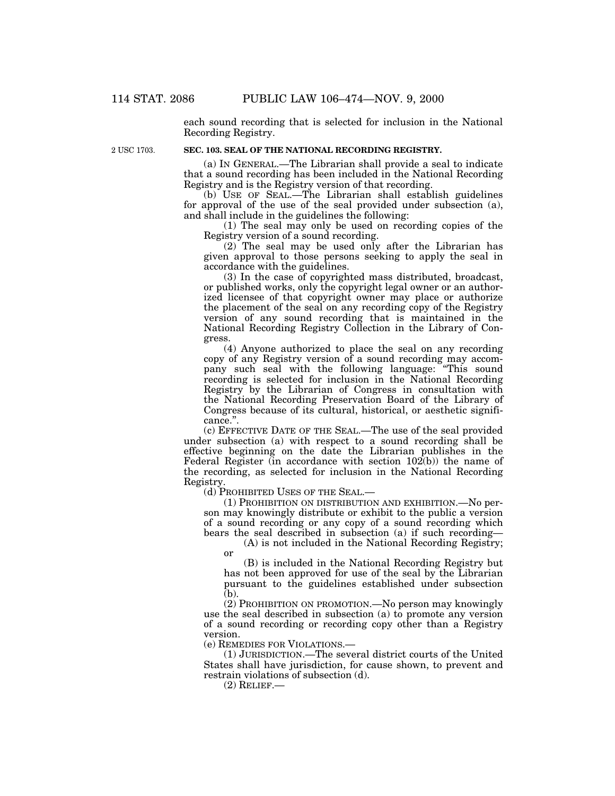each sound recording that is selected for inclusion in the National Recording Registry.

2 USC 1703.

## **SEC. 103. SEAL OF THE NATIONAL RECORDING REGISTRY.**

(a) IN GENERAL.—The Librarian shall provide a seal to indicate that a sound recording has been included in the National Recording Registry and is the Registry version of that recording.

(b) USE OF SEAL.—The Librarian shall establish guidelines for approval of the use of the seal provided under subsection (a), and shall include in the guidelines the following:

(1) The seal may only be used on recording copies of the Registry version of a sound recording.

(2) The seal may be used only after the Librarian has given approval to those persons seeking to apply the seal in accordance with the guidelines.

(3) In the case of copyrighted mass distributed, broadcast, or published works, only the copyright legal owner or an authorized licensee of that copyright owner may place or authorize the placement of the seal on any recording copy of the Registry version of any sound recording that is maintained in the National Recording Registry Collection in the Library of Congress.

(4) Anyone authorized to place the seal on any recording copy of any Registry version of a sound recording may accompany such seal with the following language: "This sound recording is selected for inclusion in the National Recording Registry by the Librarian of Congress in consultation with the National Recording Preservation Board of the Library of Congress because of its cultural, historical, or aesthetic significance.''.

(c) EFFECTIVE DATE OF THE SEAL.—The use of the seal provided under subsection (a) with respect to a sound recording shall be effective beginning on the date the Librarian publishes in the Federal Register (in accordance with section 102(b)) the name of the recording, as selected for inclusion in the National Recording Registry.

(d) PROHIBITED USES OF THE SEAL.—

(1) PROHIBITION ON DISTRIBUTION AND EXHIBITION.—No person may knowingly distribute or exhibit to the public a version of a sound recording or any copy of a sound recording which bears the seal described in subsection (a) if such recording—

(A) is not included in the National Recording Registry; or

(B) is included in the National Recording Registry but has not been approved for use of the seal by the Librarian pursuant to the guidelines established under subsection  $(b)$ .

(2) PROHIBITION ON PROMOTION.—No person may knowingly use the seal described in subsection (a) to promote any version of a sound recording or recording copy other than a Registry version.

(e) REMEDIES FOR VIOLATIONS.—

(1) JURISDICTION.—The several district courts of the United States shall have jurisdiction, for cause shown, to prevent and restrain violations of subsection (d).

 $(2)$  RELIEF.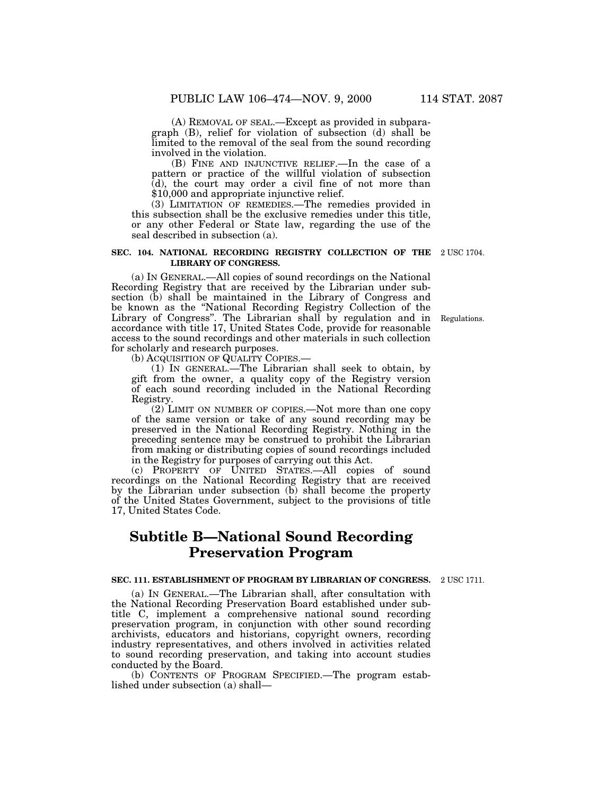(A) REMOVAL OF SEAL.—Except as provided in subparagraph (B), relief for violation of subsection (d) shall be limited to the removal of the seal from the sound recording involved in the violation.

(B) FINE AND INJUNCTIVE RELIEF.—In the case of a pattern or practice of the willful violation of subsection (d), the court may order a civil fine of not more than \$10,000 and appropriate injunctive relief.

(3) LIMITATION OF REMEDIES.—The remedies provided in this subsection shall be the exclusive remedies under this title, or any other Federal or State law, regarding the use of the seal described in subsection (a).

#### **SEC. 104. NATIONAL RECORDING REGISTRY COLLECTION OF THE** 2 USC 1704. **LIBRARY OF CONGRESS.**

(a) IN GENERAL.—All copies of sound recordings on the National Recording Registry that are received by the Librarian under subsection (b) shall be maintained in the Library of Congress and be known as the ''National Recording Registry Collection of the Library of Congress''. The Librarian shall by regulation and in accordance with title 17, United States Code, provide for reasonable access to the sound recordings and other materials in such collection for scholarly and research purposes.

(b) ACQUISITION OF QUALITY COPIES.—

(1) IN GENERAL.—The Librarian shall seek to obtain, by gift from the owner, a quality copy of the Registry version of each sound recording included in the National Recording Registry.

(2) LIMIT ON NUMBER OF COPIES.—Not more than one copy of the same version or take of any sound recording may be preserved in the National Recording Registry. Nothing in the preceding sentence may be construed to prohibit the Librarian from making or distributing copies of sound recordings included in the Registry for purposes of carrying out this Act.

(c) PROPERTY OF UNITED STATES.—All copies of sound recordings on the National Recording Registry that are received by the Librarian under subsection (b) shall become the property of the United States Government, subject to the provisions of title 17, United States Code.

# **Subtitle B—National Sound Recording Preservation Program**

#### **SEC. 111. ESTABLISHMENT OF PROGRAM BY LIBRARIAN OF CONGRESS.** 2 USC 1711.

(a) IN GENERAL.—The Librarian shall, after consultation with the National Recording Preservation Board established under subtitle C, implement a comprehensive national sound recording preservation program, in conjunction with other sound recording archivists, educators and historians, copyright owners, recording industry representatives, and others involved in activities related to sound recording preservation, and taking into account studies conducted by the Board.

(b) CONTENTS OF PROGRAM SPECIFIED.—The program established under subsection (a) shall—

Regulations.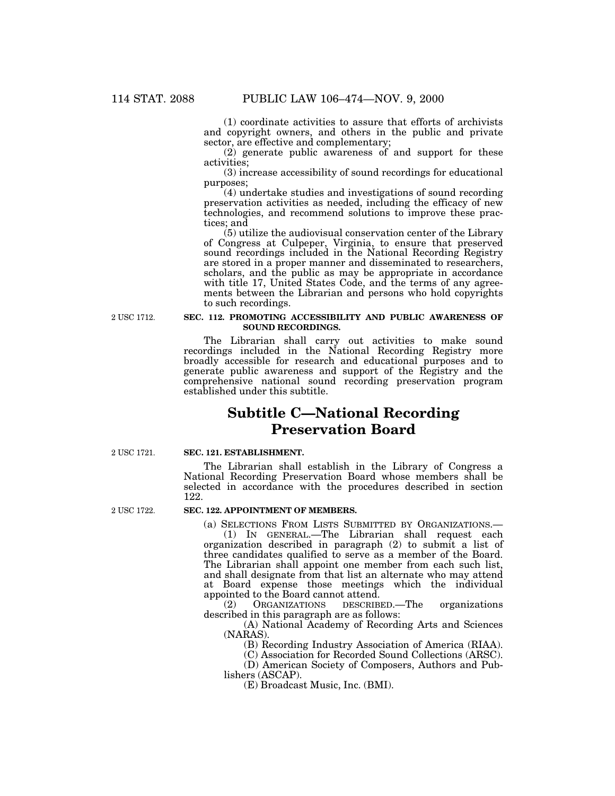(1) coordinate activities to assure that efforts of archivists and copyright owners, and others in the public and private sector, are effective and complementary;

(2) generate public awareness of and support for these activities;

(3) increase accessibility of sound recordings for educational purposes;

(4) undertake studies and investigations of sound recording preservation activities as needed, including the efficacy of new technologies, and recommend solutions to improve these practices; and

(5) utilize the audiovisual conservation center of the Library of Congress at Culpeper, Virginia, to ensure that preserved sound recordings included in the National Recording Registry are stored in a proper manner and disseminated to researchers, scholars, and the public as may be appropriate in accordance with title 17, United States Code, and the terms of any agreements between the Librarian and persons who hold copyrights to such recordings.

2 USC 1712.

#### **SEC. 112. PROMOTING ACCESSIBILITY AND PUBLIC AWARENESS OF SOUND RECORDINGS.**

The Librarian shall carry out activities to make sound recordings included in the National Recording Registry more broadly accessible for research and educational purposes and to generate public awareness and support of the Registry and the comprehensive national sound recording preservation program established under this subtitle.

# **Subtitle C—National Recording Preservation Board**

2 USC 1721.

#### **SEC. 121. ESTABLISHMENT.**

The Librarian shall establish in the Library of Congress a National Recording Preservation Board whose members shall be selected in accordance with the procedures described in section 122.

2 USC 1722.

#### **SEC. 122. APPOINTMENT OF MEMBERS.**

(a) SELECTIONS FROM LISTS SUBMITTED BY ORGANIZATIONS.—

(1) IN GENERAL.—The Librarian shall request each organization described in paragraph (2) to submit a list of three candidates qualified to serve as a member of the Board. The Librarian shall appoint one member from each such list, and shall designate from that list an alternate who may attend at Board expense those meetings which the individual appointed to the Board cannot attend.<br>
(2) ORGANIZATIONS DESCRIBI

(2) ORGANIZATIONS DESCRIBED.—The organizations described in this paragraph are as follows:

(A) National Academy of Recording Arts and Sciences (NARAS).

(B) Recording Industry Association of America (RIAA).

(C) Association for Recorded Sound Collections (ARSC).

(D) American Society of Composers, Authors and Publishers (ASCAP).

(E) Broadcast Music, Inc. (BMI).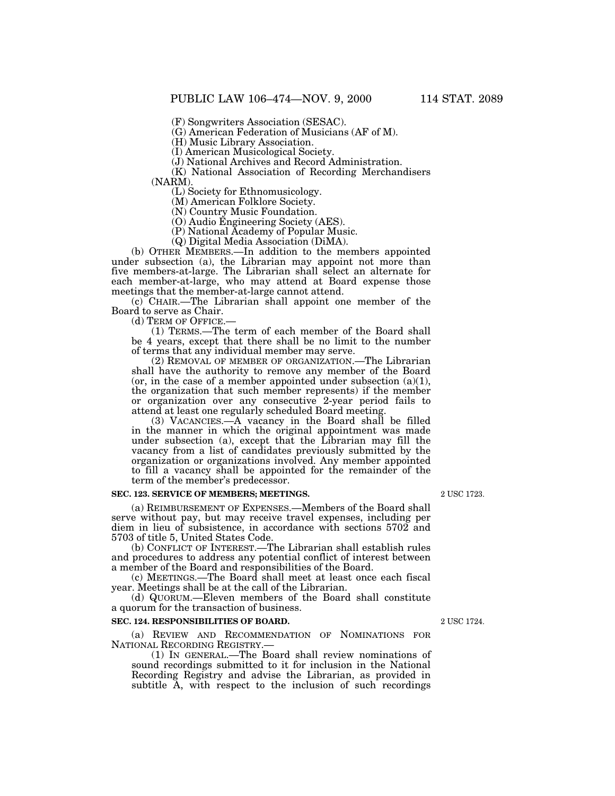(F) Songwriters Association (SESAC).

(G) American Federation of Musicians (AF of M).

(H) Music Library Association.

(I) American Musicological Society.

(J) National Archives and Record Administration.

(K) National Association of Recording Merchandisers (NARM).

(L) Society for Ethnomusicology.

(M) American Folklore Society.

(N) Country Music Foundation.

(O) Audio Engineering Society (AES).

(P) National Academy of Popular Music.

(Q) Digital Media Association (DiMA).

(b) OTHER MEMBERS.—In addition to the members appointed under subsection (a), the Librarian may appoint not more than five members-at-large. The Librarian shall select an alternate for each member-at-large, who may attend at Board expense those meetings that the member-at-large cannot attend.

(c) CHAIR.—The Librarian shall appoint one member of the Board to serve as Chair.<br>(d) TERM OF OFFICE.-

 $(1)$  TERMS.—The term of each member of the Board shall be 4 years, except that there shall be no limit to the number of terms that any individual member may serve.

(2) REMOVAL OF MEMBER OF ORGANIZATION.—The Librarian shall have the authority to remove any member of the Board (or, in the case of a member appointed under subsection  $(a)(1)$ , the organization that such member represents) if the member or organization over any consecutive 2-year period fails to attend at least one regularly scheduled Board meeting.

(3) VACANCIES.—A vacancy in the Board shall be filled in the manner in which the original appointment was made under subsection (a), except that the Librarian may fill the vacancy from a list of candidates previously submitted by the organization or organizations involved. Any member appointed to fill a vacancy shall be appointed for the remainder of the term of the member's predecessor.

#### **SEC. 123. SERVICE OF MEMBERS; MEETINGS.**

(a) REIMBURSEMENT OF EXPENSES.—Members of the Board shall serve without pay, but may receive travel expenses, including per diem in lieu of subsistence, in accordance with sections 5702 and 5703 of title 5, United States Code.

(b) CONFLICT OF INTEREST.—The Librarian shall establish rules and procedures to address any potential conflict of interest between a member of the Board and responsibilities of the Board.

(c) MEETINGS.—The Board shall meet at least once each fiscal year. Meetings shall be at the call of the Librarian.

(d) QUORUM.—Eleven members of the Board shall constitute a quorum for the transaction of business.

#### **SEC. 124. RESPONSIBILITIES OF BOARD.**

(a) REVIEW AND RECOMMENDATION OF NOMINATIONS FOR NATIONAL RECORDING REGISTRY.—

(1) IN GENERAL.—The Board shall review nominations of sound recordings submitted to it for inclusion in the National Recording Registry and advise the Librarian, as provided in subtitle A, with respect to the inclusion of such recordings

2 USC 1723.

2 USC 1724.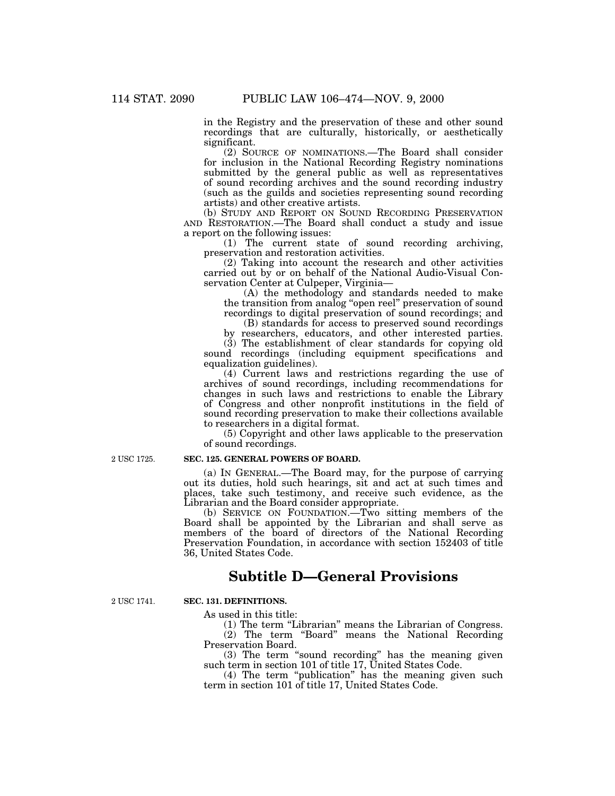in the Registry and the preservation of these and other sound recordings that are culturally, historically, or aesthetically significant.

(2) SOURCE OF NOMINATIONS.—The Board shall consider for inclusion in the National Recording Registry nominations submitted by the general public as well as representatives of sound recording archives and the sound recording industry (such as the guilds and societies representing sound recording artists) and other creative artists.

(b) STUDY AND REPORT ON SOUND RECORDING PRESERVATION AND RESTORATION.—The Board shall conduct a study and issue a report on the following issues:

(1) The current state of sound recording archiving, preservation and restoration activities.

(2) Taking into account the research and other activities carried out by or on behalf of the National Audio-Visual Conservation Center at Culpeper, Virginia—

(A) the methodology and standards needed to make the transition from analog ''open reel'' preservation of sound recordings to digital preservation of sound recordings; and

(B) standards for access to preserved sound recordings by researchers, educators, and other interested parties.

(3) The establishment of clear standards for copying old sound recordings (including equipment specifications and equalization guidelines).

(4) Current laws and restrictions regarding the use of archives of sound recordings, including recommendations for changes in such laws and restrictions to enable the Library of Congress and other nonprofit institutions in the field of sound recording preservation to make their collections available to researchers in a digital format.

(5) Copyright and other laws applicable to the preservation of sound recordings.

2 USC 1725.

### **SEC. 125. GENERAL POWERS OF BOARD.**

(a) IN GENERAL.—The Board may, for the purpose of carrying out its duties, hold such hearings, sit and act at such times and places, take such testimony, and receive such evidence, as the Librarian and the Board consider appropriate.

(b) SERVICE ON FOUNDATION.—Two sitting members of the Board shall be appointed by the Librarian and shall serve as members of the board of directors of the National Recording Preservation Foundation, in accordance with section 152403 of title 36, United States Code.

## **Subtitle D—General Provisions**

2 USC 1741

#### **SEC. 131. DEFINITIONS.**

As used in this title:

(1) The term "Librarian" means the Librarian of Congress.

(2) The term "Board" means the National Recording Preservation Board.

(3) The term ''sound recording'' has the meaning given such term in section 101 of title 17, United States Code.

(4) The term ''publication'' has the meaning given such term in section 101 of title 17, United States Code.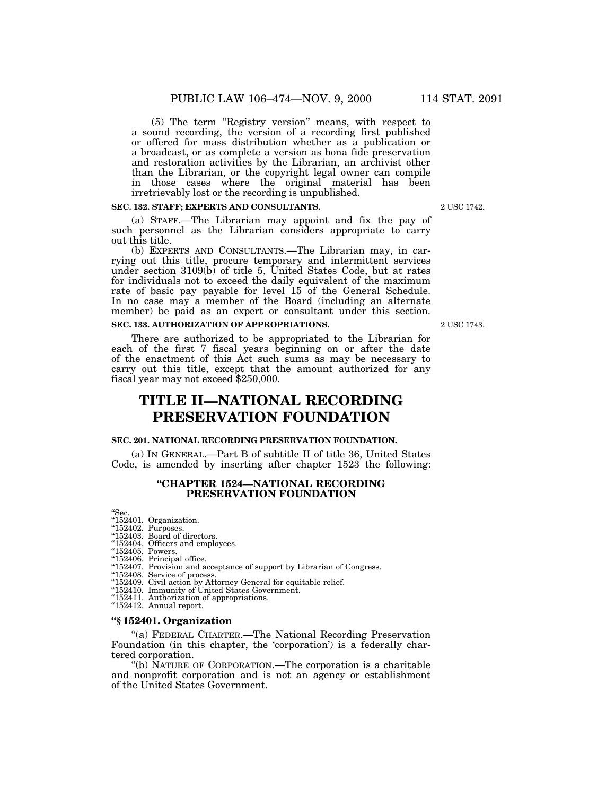(5) The term ''Registry version'' means, with respect to a sound recording, the version of a recording first published or offered for mass distribution whether as a publication or a broadcast, or as complete a version as bona fide preservation and restoration activities by the Librarian, an archivist other than the Librarian, or the copyright legal owner can compile in those cases where the original material has been irretrievably lost or the recording is unpublished.

#### **SEC. 132. STAFF; EXPERTS AND CONSULTANTS.**

(a) STAFF.—The Librarian may appoint and fix the pay of such personnel as the Librarian considers appropriate to carry out this title.

(b) EXPERTS AND CONSULTANTS.—The Librarian may, in carrying out this title, procure temporary and intermittent services under section 3109(b) of title 5, United States Code, but at rates for individuals not to exceed the daily equivalent of the maximum rate of basic pay payable for level 15 of the General Schedule. In no case may a member of the Board (including an alternate member) be paid as an expert or consultant under this section.

### **SEC. 133. AUTHORIZATION OF APPROPRIATIONS.**

There are authorized to be appropriated to the Librarian for each of the first 7 fiscal years beginning on or after the date of the enactment of this Act such sums as may be necessary to carry out this title, except that the amount authorized for any fiscal year may not exceed \$250,000.

# **TITLE II—NATIONAL RECORDING PRESERVATION FOUNDATION**

### **SEC. 201. NATIONAL RECORDING PRESERVATION FOUNDATION.**

(a) IN GENERAL.—Part B of subtitle II of title 36, United States Code, is amended by inserting after chapter 1523 the following:

#### **''CHAPTER 1524—NATIONAL RECORDING PRESERVATION FOUNDATION**

''Sec.

- ''152401. Organization. ''152402. Purposes.
- ''152403. Board of directors.
- ''152404. Officers and employees.

"152405. Powers.

- ''152406. Principal office.
- ''152407. Provision and acceptance of support by Librarian of Congress.
- ''152408. Service of process.
- ''152409. Civil action by Attorney General for equitable relief.
- ''152410. Immunity of United States Government.
- ''152411. Authorization of appropriations.
- "152412. Annual report.
- **''§ 152401. Organization**

''(a) FEDERAL CHARTER.—The National Recording Preservation Foundation (in this chapter, the 'corporation') is a federally chartered corporation.

''(b) NATURE OF CORPORATION.—The corporation is a charitable and nonprofit corporation and is not an agency or establishment of the United States Government.

2 USC 1743

2 USC 1742.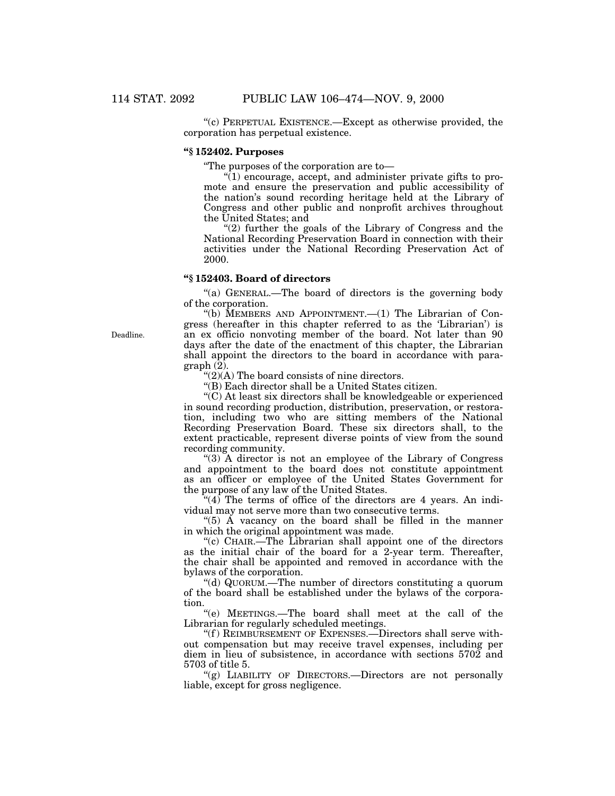''(c) PERPETUAL EXISTENCE.—Except as otherwise provided, the corporation has perpetual existence.

### **''§ 152402. Purposes**

''The purposes of the corporation are to—

 $\sqrt[n]{(1)}$  encourage, accept, and administer private gifts to promote and ensure the preservation and public accessibility of the nation's sound recording heritage held at the Library of Congress and other public and nonprofit archives throughout the United States; and

 $(2)$  further the goals of the Library of Congress and the National Recording Preservation Board in connection with their activities under the National Recording Preservation Act of 2000.

#### **''§ 152403. Board of directors**

''(a) GENERAL.—The board of directors is the governing body of the corporation.

"(b) MEMBERS AND APPOINTMENT. $-(1)$  The Librarian of Congress (hereafter in this chapter referred to as the 'Librarian') is an ex officio nonvoting member of the board. Not later than 90 days after the date of the enactment of this chapter, the Librarian shall appoint the directors to the board in accordance with paragraph (2).

 $"(2)(A)$  The board consists of nine directors.

''(B) Each director shall be a United States citizen.

''(C) At least six directors shall be knowledgeable or experienced in sound recording production, distribution, preservation, or restoration, including two who are sitting members of the National Recording Preservation Board. These six directors shall, to the extent practicable, represent diverse points of view from the sound recording community.

''(3) A director is not an employee of the Library of Congress and appointment to the board does not constitute appointment as an officer or employee of the United States Government for the purpose of any law of the United States.

" $(4)$  The terms of office of the directors are 4 years. An individual may not serve more than two consecutive terms.

"(5)  $\AA$  vacancy on the board shall be filled in the manner in which the original appointment was made.

''(c) CHAIR.—The Librarian shall appoint one of the directors as the initial chair of the board for a 2-year term. Thereafter, the chair shall be appointed and removed in accordance with the bylaws of the corporation.

''(d) QUORUM.—The number of directors constituting a quorum of the board shall be established under the bylaws of the corporation.

''(e) MEETINGS.—The board shall meet at the call of the Librarian for regularly scheduled meetings.

"(f) REIMBURSEMENT OF EXPENSES.—Directors shall serve without compensation but may receive travel expenses, including per diem in lieu of subsistence, in accordance with sections 5702 and 5703 of title 5.

"(g) LIABILITY OF DIRECTORS. - Directors are not personally liable, except for gross negligence.

Deadline.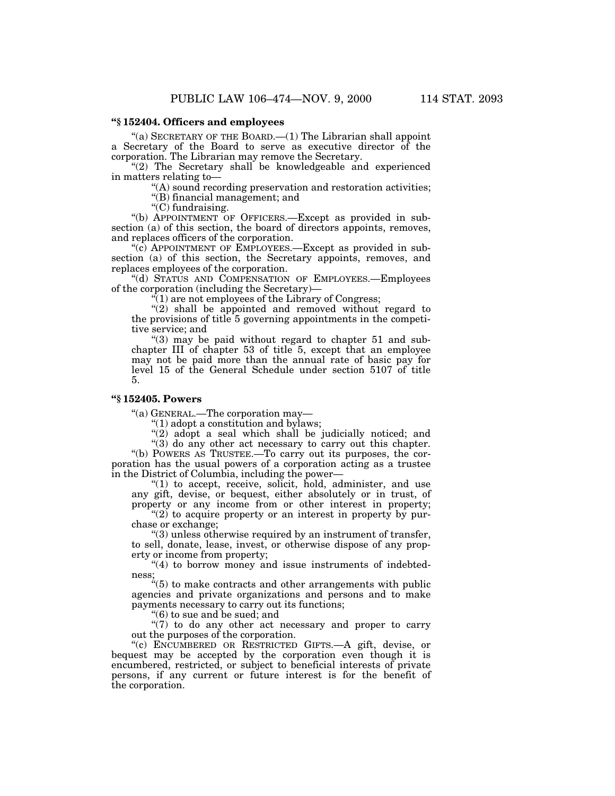"(a) SECRETARY OF THE BOARD.— $(1)$  The Librarian shall appoint a Secretary of the Board to serve as executive director of the corporation. The Librarian may remove the Secretary.

"(2) The Secretary shall be knowledgeable and experienced in matters relating to—

''(A) sound recording preservation and restoration activities; ''(B) financial management; and

''(C) fundraising.

''(b) APPOINTMENT OF OFFICERS.—Except as provided in subsection (a) of this section, the board of directors appoints, removes, and replaces officers of the corporation.

"(c) APPOINTMENT OF EMPLOYEES.—Except as provided in subsection (a) of this section, the Secretary appoints, removes, and replaces employees of the corporation.

''(d) STATUS AND COMPENSATION OF EMPLOYEES.—Employees of the corporation (including the Secretary)—

''(1) are not employees of the Library of Congress;

 $''(2)$  shall be appointed and removed without regard to the provisions of title 5 governing appointments in the competitive service; and

" $(3)$  may be paid without regard to chapter 51 and subchapter III of chapter 53 of title 5, except that an employee may not be paid more than the annual rate of basic pay for level 15 of the General Schedule under section 5107 of title 5.

## **''§ 152405. Powers**

''(a) GENERAL.—The corporation may—

 $''(1)$  adopt a constitution and bylaws;

 $''(2)$  adopt a seal which shall be judicially noticed; and

''(3) do any other act necessary to carry out this chapter. ''(b) POWERS AS TRUSTEE.—To carry out its purposes, the corporation has the usual powers of a corporation acting as a trustee in the District of Columbia, including the power—

"(1) to accept, receive, solicit, hold, administer, and use any gift, devise, or bequest, either absolutely or in trust, of property or any income from or other interest in property;

" $(2)$  to acquire property or an interest in property by purchase or exchange;

''(3) unless otherwise required by an instrument of transfer, to sell, donate, lease, invest, or otherwise dispose of any property or income from property;

"(4) to borrow money and issue instruments of indebtedness;

''(5) to make contracts and other arrangements with public agencies and private organizations and persons and to make payments necessary to carry out its functions;

''(6) to sue and be sued; and

 $\sqrt{\frac{7}{7}}$  to do any other act necessary and proper to carry out the purposes of the corporation.

''(c) ENCUMBERED OR RESTRICTED GIFTS.—A gift, devise, or bequest may be accepted by the corporation even though it is encumbered, restricted, or subject to beneficial interests of private persons, if any current or future interest is for the benefit of the corporation.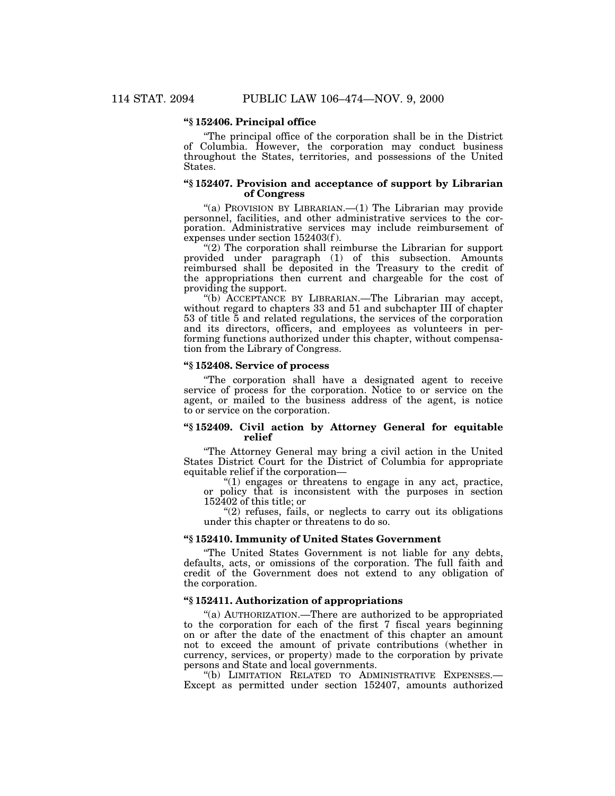### **''§ 152406. Principal office**

''The principal office of the corporation shall be in the District of Columbia. However, the corporation may conduct business throughout the States, territories, and possessions of the United States.

#### **''§ 152407. Provision and acceptance of support by Librarian of Congress**

"(a) PROVISION BY LIBRARIAN.— $(1)$  The Librarian may provide personnel, facilities, and other administrative services to the corporation. Administrative services may include reimbursement of expenses under section 152403(f ).

"(2) The corporation shall reimburse the Librarian for support provided under paragraph (1) of this subsection. Amounts reimbursed shall be deposited in the Treasury to the credit of the appropriations then current and chargeable for the cost of providing the support.

''(b) ACCEPTANCE BY LIBRARIAN.—The Librarian may accept, without regard to chapters 33 and 51 and subchapter III of chapter 53 of title 5 and related regulations, the services of the corporation and its directors, officers, and employees as volunteers in performing functions authorized under this chapter, without compensation from the Library of Congress.

#### **''§ 152408. Service of process**

''The corporation shall have a designated agent to receive service of process for the corporation. Notice to or service on the agent, or mailed to the business address of the agent, is notice to or service on the corporation.

### **''§ 152409. Civil action by Attorney General for equitable relief**

''The Attorney General may bring a civil action in the United States District Court for the District of Columbia for appropriate equitable relief if the corporation—

" $(1)$  engages or threatens to engage in any act, practice, or policy that is inconsistent with the purposes in section 152402 of this title; or

 $''(2)$  refuses, fails, or neglects to carry out its obligations under this chapter or threatens to do so.

#### **''§ 152410. Immunity of United States Government**

''The United States Government is not liable for any debts, defaults, acts, or omissions of the corporation. The full faith and credit of the Government does not extend to any obligation of the corporation.

#### **''§ 152411. Authorization of appropriations**

''(a) AUTHORIZATION.—There are authorized to be appropriated to the corporation for each of the first 7 fiscal years beginning on or after the date of the enactment of this chapter an amount not to exceed the amount of private contributions (whether in currency, services, or property) made to the corporation by private persons and State and local governments.

''(b) LIMITATION RELATED TO ADMINISTRATIVE EXPENSES.— Except as permitted under section 152407, amounts authorized